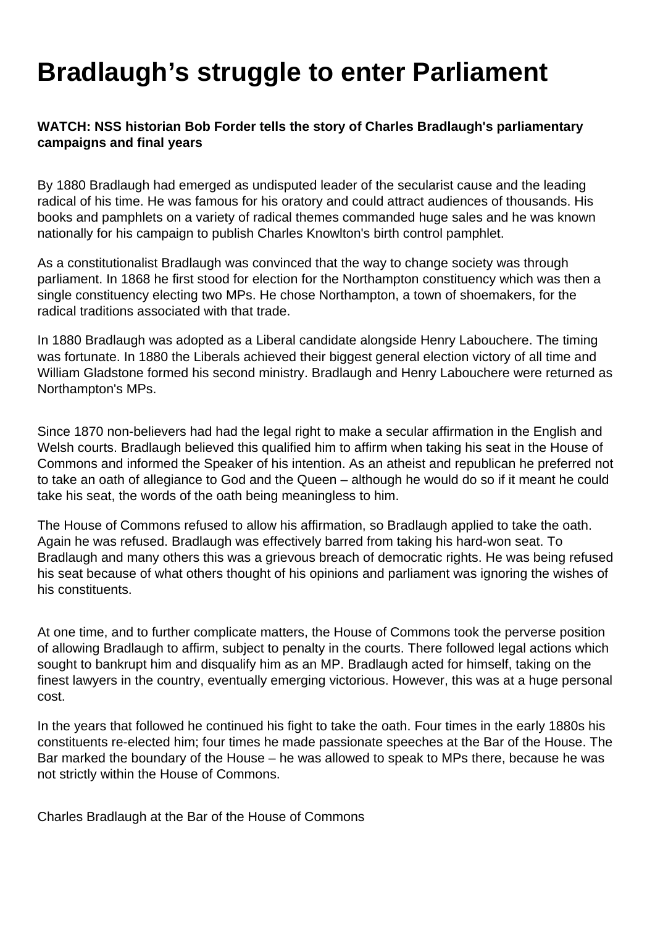## **Bradlaugh's struggle to enter Parliament**

## **WATCH: NSS historian Bob Forder tells the story of Charles Bradlaugh's parliamentary campaigns and final years**

By 1880 Bradlaugh had emerged as undisputed leader of the secularist cause and the leading radical of his time. He was famous for his oratory and could attract audiences of thousands. His books and pamphlets on a variety of radical themes commanded huge sales and he was known nationally for his campaign to publish Charles Knowlton's birth control pamphlet.

As a constitutionalist Bradlaugh was convinced that the way to change society was through parliament. In 1868 he first stood for election for the Northampton constituency which was then a single constituency electing two MPs. He chose Northampton, a town of shoemakers, for the radical traditions associated with that trade.

In 1880 Bradlaugh was adopted as a Liberal candidate alongside Henry Labouchere. The timing was fortunate. In 1880 the Liberals achieved their biggest general election victory of all time and William Gladstone formed his second ministry. Bradlaugh and Henry Labouchere were returned as Northampton's MPs.

Since 1870 non-believers had had the legal right to make a secular affirmation in the English and Welsh courts. Bradlaugh believed this qualified him to affirm when taking his seat in the House of Commons and informed the Speaker of his intention. As an atheist and republican he preferred not to take an oath of allegiance to God and the Queen – although he would do so if it meant he could take his seat, the words of the oath being meaningless to him.

The House of Commons refused to allow his affirmation, so Bradlaugh applied to take the oath. Again he was refused. Bradlaugh was effectively barred from taking his hard-won seat. To Bradlaugh and many others this was a grievous breach of democratic rights. He was being refused his seat because of what others thought of his opinions and parliament was ignoring the wishes of his constituents.

At one time, and to further complicate matters, the House of Commons took the perverse position of allowing Bradlaugh to affirm, subject to penalty in the courts. There followed legal actions which sought to bankrupt him and disqualify him as an MP. Bradlaugh acted for himself, taking on the finest lawyers in the country, eventually emerging victorious. However, this was at a huge personal cost.

In the years that followed he continued his fight to take the oath. Four times in the early 1880s his constituents re-elected him; four times he made passionate speeches at the Bar of the House. The Bar marked the boundary of the House – he was allowed to speak to MPs there, because he was not strictly within the House of Commons.

Charles Bradlaugh at the Bar of the House of Commons